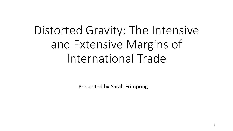# Distorted Gravity: The Intensive and Extensive Margins of International Trade

Presented by Sarah Frimpong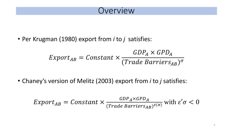• Per Krugman (1980) export from *i* to *j* satisfies:

$$
Export_{AB} = Constant \times \frac{GDP_A \times GPD_A}{(Trade \; Barriers_{AB})^{\sigma}}
$$

• Chaney's version of Melitz (2003) export from *i* to *j* satisfies:

$$
Export_{AB} = Constant \times \frac{GDP_A \times GPD_A}{(Trace \; Barriers_{AB})^{\varepsilon(\sigma)}} \text{ with } \varepsilon' \sigma < 0
$$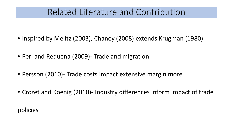# Related Literature and Contribution

- Inspired by Melitz (2003), Chaney (2008) extends Krugman (1980)
- Peri and Requena (2009)- Trade and migration
- Persson (2010)- Trade costs impact extensive margin more
- Crozet and Koenig (2010)- Industry differences inform impact of trade

policies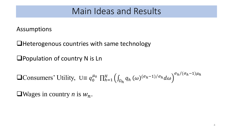Assumptions

❑Heterogenous countries with same technology

❑Population of country N is Ln

**Q**Consumers' Utility, 
$$
U \equiv q_0^{\mu_0} \prod_{h=1}^H \left( \int_{\Omega_h} q_h(\omega)^{(\sigma_h-1)/\sigma_h} d\omega \right)^{\sigma_h/(\sigma_h-1)\mu_h}
$$

 $\Box$ Wages in country *n* is  $W_n$ .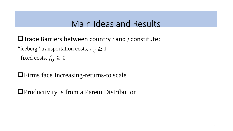❑Trade Barriers between country *i* and *j* constitute:

"iceberg" transportation costs,  $\tau_{ij} \geq 1$ 

fixed costs,  $f_{ij} \geq 0$ 

❑Firms face Increasing-returns-to scale

❑Productivity is from a Pareto Distribution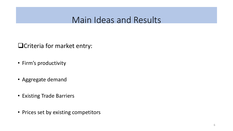❑Criteria for market entry:

- Firm's productivity
- Aggregate demand
- Existing Trade Barriers
- Prices set by existing competitors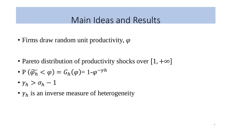• Firms draw random unit productivity,  $\varphi$ 

- Pareto distribution of productivity shocks over  $[1, +\infty]$
- $P(\widetilde{\varphi_h} < \varphi) = G_h(\varphi) = 1 \varphi^{-\gamma h}$
- $\gamma_h > \sigma_h 1$
- $\gamma_h$  is an inverse measure of heterogeneity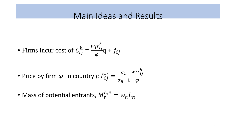• Firms incur cost of 
$$
C_{ij}^h = \frac{w_i \tau_{ij}^h}{\varphi} q + f_{ij}
$$

• Price by firm 
$$
\varphi
$$
 in country *j*:  $P_{ij}^h = \frac{\sigma_h}{\sigma_h - 1} \frac{w_i \tau_{ij}^h}{\varphi}$ 

• Mass of potential entrants,  $M_e^{h,e} = w_n L_n$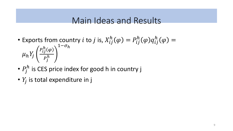- Exports from country  $i$  to  $j$  is,  $X_{ij}^h(\varphi) = P_{ij}^h(\varphi)q_{ij}^h(\varphi) =$  $\mu_h Y_j$  $P_{ij}^h(\varphi$  $P_{\dot J}^h$  $1-\sigma_h$
- $P_j^h$  is CES price index for good h in country j
- $Y_j$  is total expenditure in j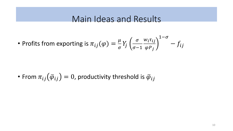• Profits from exporting is 
$$
\pi_{ij}(\varphi) = \frac{\mu}{\sigma} Y_j \left( \frac{\sigma}{\sigma - 1} \frac{w_i \tau_{ij}}{\varphi P_j} \right)^{1 - \sigma} - f_{ij}
$$

• From  $\pi_{ij}(\overline{\varphi}_{ij})=0$ , productivity threshold is  $\overline{\varphi}_{ij}$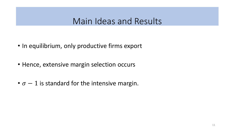- In equilibrium, only productive firms export
- Hence, extensive margin selection occurs
- $\sigma 1$  is standard for the intensive margin.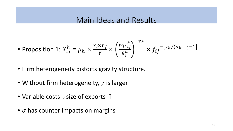• Proposition 1: 
$$
X_{ij}^h = \mu_h \times \frac{Y_i \times Y_j}{Y} \times \left(\frac{w_i \tau_{ij}^h}{\theta_j^h}\right)^{-\gamma_h} \times f_{ij}^{-\left[\gamma_h/(\sigma_{h-1})-1\right]}
$$

- Firm heterogeneity distorts gravity structure.
- Without firm heterogeneity,  $\gamma$  is larger
- Variable costs ↓ size of exports ↑
- $\bullet$   $\sigma$  has counter impacts on margins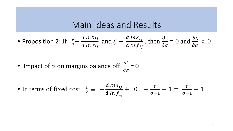• Proposition 2: If 
$$
\zeta \equiv \frac{d \ln X_{ij}}{d \ln \tau_{ij}}
$$
 and  $\xi \equiv \frac{d \ln X_{ij}}{d \ln f_{ij}}$ , then  $\frac{\partial \zeta}{\partial \sigma} = 0$  and  $\frac{\partial \zeta}{\partial \sigma} < 0$ 

• Impact of 
$$
\sigma
$$
 on margins balance off  $\frac{\partial \zeta}{\partial \sigma} = 0$ 

• In terms of fixed cost, 
$$
\xi \equiv -\frac{d \ln X_{ij}}{d \ln f_{ij}} + 0 + \frac{\gamma}{\sigma - 1} - 1 = \frac{\gamma}{\sigma - 1} - 1
$$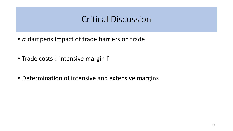# Critical Discussion

- $\bullet$   $\sigma$  dampens impact of trade barriers on trade
- Trade costs ↓ intensive margin ↑
- Determination of intensive and extensive margins